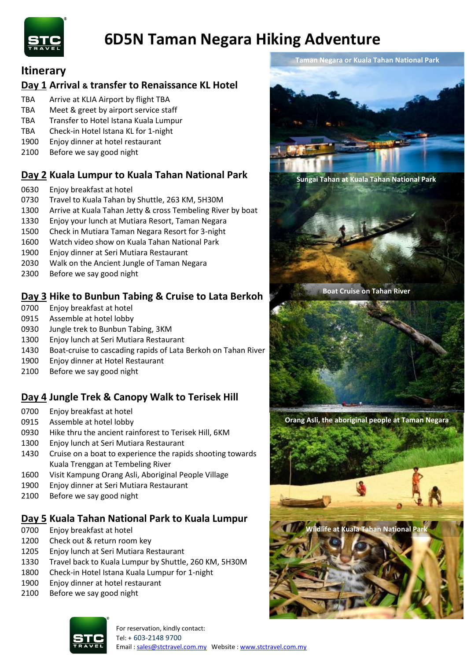

# **6D5N Taman Negara Hiking Adventure**

### **Itinerary**

## **Day 1 Arrival & transfer to Renaissance KL Hotel**

- TBA Arrive at KLIA Airport by flight TBA
- TBA Meet & greet by airport service staff
- TBA Transfer to Hotel Istana Kuala Lumpur
- TBA Check-in Hotel Istana KL for 1-night
- Enjoy dinner at hotel restaurant
- Before we say good night

# **Day 2 Kuala Lumpur to Kuala Tahan National Park**

- Enjoy breakfast at hotel
- Travel to Kuala Tahan by Shuttle, 263 KM, 5H30M
- 1300 Arrive at Kuala Tahan Jetty & cross Tembeling River by boat
- Enjoy your lunch at Mutiara Resort, Taman Negara
- Check in Mutiara Taman Negara Resort for 3-night
- Watch video show on Kuala Tahan National Park
- Enjoy dinner at Seri Mutiara Restaurant
- Walk on the Ancient Jungle of Taman Negara
- Before we say good night

# **Day 3 Hike to Bunbun Tabing & Cruise to Lata Berkoh**

- Enjoy breakfast at hotel
- Assemble at hotel lobby
- Jungle trek to Bunbun Tabing, 3KM
- Enjoy lunch at Seri Mutiara Restaurant
- Boat-cruise to cascading rapids of Lata Berkoh on Tahan River
- Enjoy dinner at Hotel Restaurant
- Before we say good night

# **Day 4 Jungle Trek & Canopy Walk to Terisek Hill**

- Enjoy breakfast at hotel
- Assemble at hotel lobby
- Hike thru the ancient rainforest to Terisek Hill, 6KM
- Enjoy lunch at Seri Mutiara Restaurant
- Cruise on a boat to experience the rapids shooting towards Kuala Trenggan at Tembeling River
- Visit Kampung Orang Asli, Aboriginal People Village
- Enjoy dinner at Seri Mutiara Restaurant
- Before we say good night

## **Day 5 Kuala Tahan National Park to Kuala Lumpur**

- Enjoy breakfast at hotel
- Check out & return room key
- Enjoy lunch at Seri Mutiara Restaurant
- Travel back to Kuala Lumpur by Shuttle, 260 KM, 5H30M
- Check-in Hotel Istana Kuala Lumpur for 1-night
- Enjoy dinner at hotel restaurant
- Before we say good night



**Taman Negara or Kuala Tahan National Park**

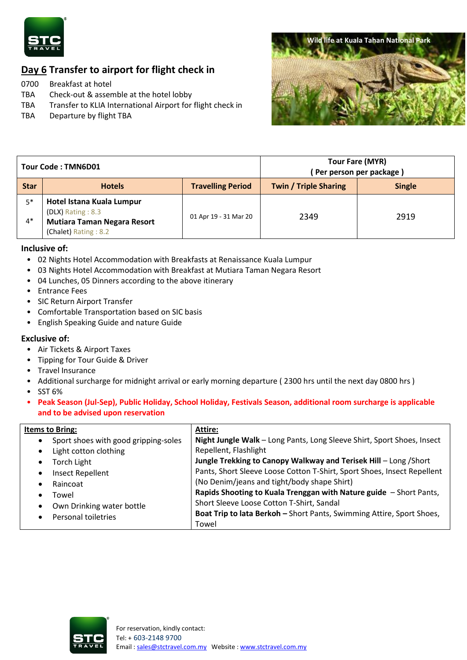

# **Day 6 Transfer to airport for flight check in**

0700 Breakfast at hotel

- TBA Check-out & assemble at the hotel lobby
- TBA Transfer to KLIA International Airport for flight check in
- TBA Departure by flight TBA



| Tour Code: TMN6D01 |                                                                                                              |                          | Tour Fare (MYR)<br>Per person per package) |               |
|--------------------|--------------------------------------------------------------------------------------------------------------|--------------------------|--------------------------------------------|---------------|
| <b>Star</b>        | <b>Hotels</b>                                                                                                | <b>Travelling Period</b> | <b>Twin / Triple Sharing</b>               | <b>Single</b> |
| $5*$<br>$4*$       | Hotel Istana Kuala Lumpur<br>(DLX) Rating: 8.3<br><b>Mutiara Taman Negara Resort</b><br>(Chalet) Rating: 8.2 | 01 Apr 19 - 31 Mar 20    | 2349                                       | 2919          |

#### **Inclusive of:**

- 02 Nights Hotel Accommodation with Breakfasts at Renaissance Kuala Lumpur
- 03 Nights Hotel Accommodation with Breakfast at Mutiara Taman Negara Resort
- 04 Lunches, 05 Dinners according to the above itinerary
- Entrance Fees
- SIC Return Airport Transfer
- Comfortable Transportation based on SIC basis
- English Speaking Guide and nature Guide

#### **Exclusive of:**

- Air Tickets & Airport Taxes
- Tipping for Tour Guide & Driver
- Travel Insurance
- Additional surcharge for midnight arrival or early morning departure ( 2300 hrs until the next day 0800 hrs )
- SST 6%
- **Peak Season (Jul-Sep), Public Holiday, School Holiday, Festivals Season, additional room surcharge is applicable and to be advised upon reservation**

| <b>Items to Bring:</b>               | Attire:                                                                 |
|--------------------------------------|-------------------------------------------------------------------------|
| Sport shoes with good gripping-soles | Night Jungle Walk - Long Pants, Long Sleeve Shirt, Sport Shoes, Insect  |
| Light cotton clothing                | Repellent, Flashlight                                                   |
| <b>Torch Light</b>                   | Jungle Trekking to Canopy Walkway and Terisek Hill - Long / Short       |
| Insect Repellent                     | Pants, Short Sleeve Loose Cotton T-Shirt, Sport Shoes, Insect Repellent |
| Raincoat                             | (No Denim/jeans and tight/body shape Shirt)                             |
| Towel                                | Rapids Shooting to Kuala Trenggan with Nature guide - Short Pants,      |
| Own Drinking water bottle            | Short Sleeve Loose Cotton T-Shirt, Sandal                               |
| Personal toiletries                  | Boat Trip to lata Berkoh - Short Pants, Swimming Attire, Sport Shoes,   |
|                                      | Towel                                                                   |